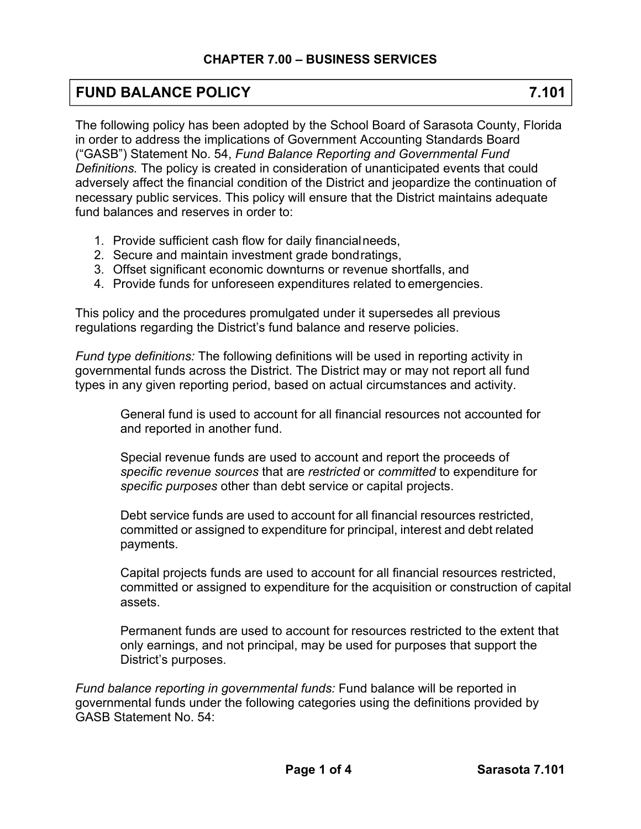# **FUND BALANCE POLICY 7.101**

The following policy has been adopted by the School Board of Sarasota County, Florida in order to address the implications of Government Accounting Standards Board ("GASB") Statement No. 54, *Fund Balance Reporting and Governmental Fund Definitions.* The policy is created in consideration of unanticipated events that could adversely affect the financial condition of the District and jeopardize the continuation of necessary public services. This policy will ensure that the District maintains adequate fund balances and reserves in order to:

- 1. Provide sufficient cash flow for daily financial needs,
- 2. Secure and maintain investment grade bond ratings,
- 3. Offset significant economic downturns or revenue shortfalls, and
- 4. Provide funds for unforeseen expenditures related to emergencies.

This policy and the procedures promulgated under it supersedes all previous regulations regarding the District's fund balance and reserve policies.

*Fund type definitions:* The following definitions will be used in reporting activity in governmental funds across the District. The District may or may not report all fund types in any given reporting period, based on actual circumstances and activity.

General fund is used to account for all financial resources not accounted for and reported in another fund.

Special revenue funds are used to account and report the proceeds of *specific revenue sources* that are *restricted* or *committed* to expenditure for *specific purposes* other than debt service or capital projects.

Debt service funds are used to account for all financial resources restricted, committed or assigned to expenditure for principal, interest and debt related payments.

Capital projects funds are used to account for all financial resources restricted, committed or assigned to expenditure for the acquisition or construction of capital assets.

Permanent funds are used to account for resources restricted to the extent that only earnings, and not principal, may be used for purposes that support the District's purposes.

*Fund balance reporting in governmental funds:* Fund balance will be reported in governmental funds under the following categories using the definitions provided by GASB Statement No. 54: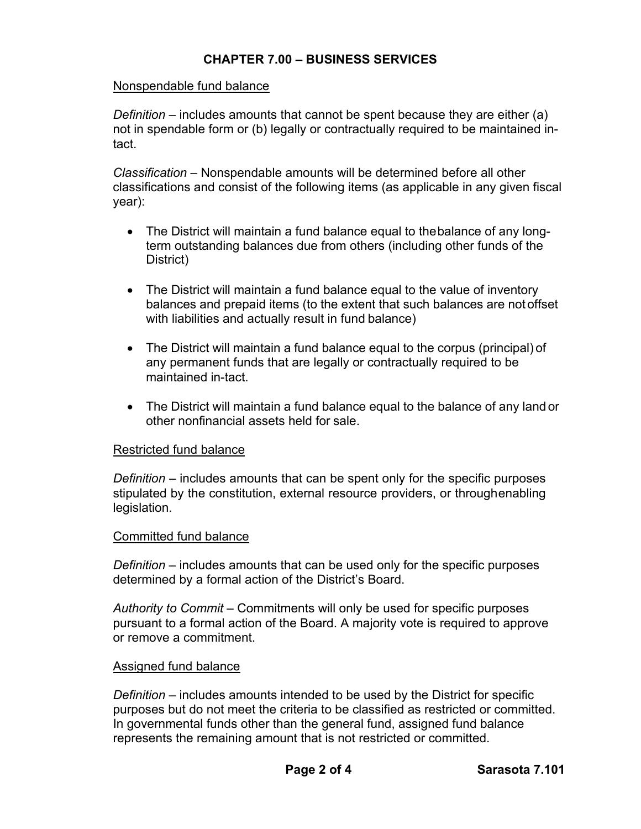## **CHAPTER 7.00 – BUSINESS SERVICES**

### Nonspendable fund balance

*Definition* – includes amounts that cannot be spent because they are either (a) not in spendable form or (b) legally or contractually required to be maintained intact.

*Classification* – Nonspendable amounts will be determined before all other classifications and consist of the following items (as applicable in any given fiscal year):

- The District will maintain a fund balance equal to the balance of any longterm outstanding balances due from others (including other funds of the District)
- The District will maintain a fund balance equal to the value of inventory balances and prepaid items (to the extent that such balances are not offset with liabilities and actually result in fund balance)
- The District will maintain a fund balance equal to the corpus (principal) of any permanent funds that are legally or contractually required to be maintained in-tact.
- The District will maintain a fund balance equal to the balance of any land or other nonfinancial assets held for sale.

#### Restricted fund balance

*Definition* – includes amounts that can be spent only for the specific purposes stipulated by the constitution, external resource providers, or through enabling legislation.

#### Committed fund balance

*Definition* – includes amounts that can be used only for the specific purposes determined by a formal action of the District's Board.

*Authority to Commit* – Commitments will only be used for specific purposes pursuant to a formal action of the Board. A majority vote is required to approve or remove a commitment.

#### Assigned fund balance

*Definition* – includes amounts intended to be used by the District for specific purposes but do not meet the criteria to be classified as restricted or committed. In governmental funds other than the general fund, assigned fund balance represents the remaining amount that is not restricted or committed.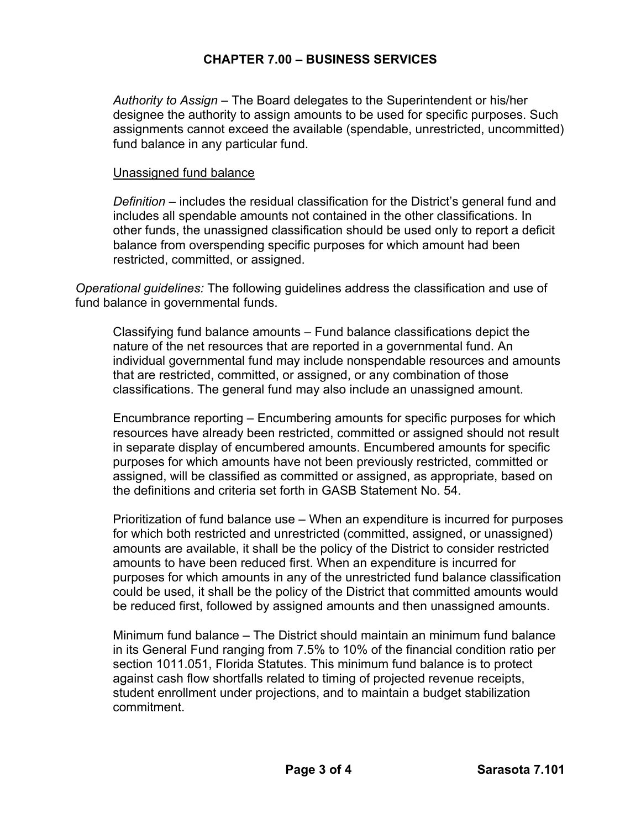## **CHAPTER 7.00 – BUSINESS SERVICES**

*Authority to Assign* – The Board delegates to the Superintendent or his/her designee the authority to assign amounts to be used for specific purposes. Such assignments cannot exceed the available (spendable, unrestricted, uncommitted) fund balance in any particular fund.

### Unassigned fund balance

*Definition* – includes the residual classification for the District's general fund and includes all spendable amounts not contained in the other classifications. In other funds, the unassigned classification should be used only to report a deficit balance from overspending specific purposes for which amount had been restricted, committed, or assigned.

*Operational guidelines:* The following guidelines address the classification and use of fund balance in governmental funds.

Classifying fund balance amounts – Fund balance classifications depict the nature of the net resources that are reported in a governmental fund. An individual governmental fund may include nonspendable resources and amounts that are restricted, committed, or assigned, or any combination of those classifications. The general fund may also include an unassigned amount.

Encumbrance reporting – Encumbering amounts for specific purposes for which resources have already been restricted, committed or assigned should not result in separate display of encumbered amounts. Encumbered amounts for specific purposes for which amounts have not been previously restricted, committed or assigned, will be classified as committed or assigned, as appropriate, based on the definitions and criteria set forth in GASB Statement No. 54.

Prioritization of fund balance use – When an expenditure is incurred for purposes for which both restricted and unrestricted (committed, assigned, or unassigned) amounts are available, it shall be the policy of the District to consider restricted amounts to have been reduced first. When an expenditure is incurred for purposes for which amounts in any of the unrestricted fund balance classification could be used, it shall be the policy of the District that committed amounts would be reduced first, followed by assigned amounts and then unassigned amounts.

Minimum fund balance – The District should maintain an minimum fund balance in its General Fund ranging from 7.5% to 10% of the financial condition ratio per section 1011.051, Florida Statutes. This minimum fund balance is to protect against cash flow shortfalls related to timing of projected revenue receipts, student enrollment under projections, and to maintain a budget stabilization commitment.